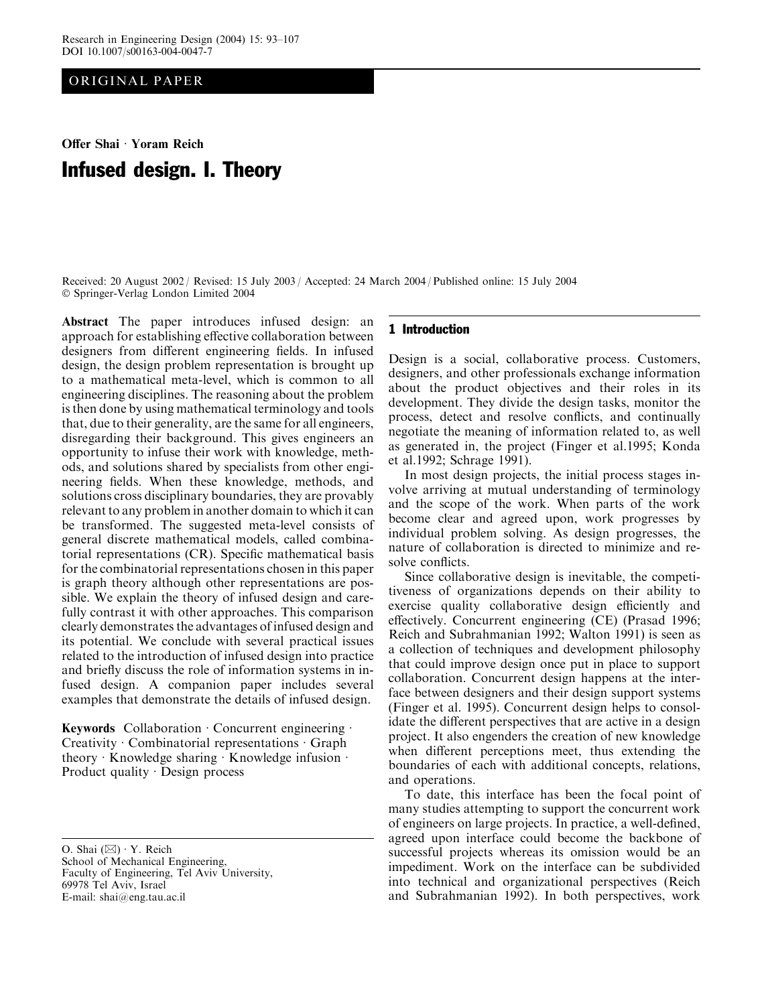# ORIGINAL PAPER

Offer Shai · Yoram Reich

# Infused design. I. Theory

Received: 20 August 2002 / Revised: 15 July 2003 / Accepted: 24 March 2004 / Published online: 15 July 2004 Springer-Verlag London Limited 2004

Abstract The paper introduces infused design: an approach for establishing effective collaboration between designers from different engineering fields. In infused design, the design problem representation is brought up to a mathematical meta-level, which is common to all engineering disciplines. The reasoning about the problem is then done by using mathematical terminology and tools that, due to their generality, are the same for all engineers, disregarding their background. This gives engineers an opportunity to infuse their work with knowledge, methods, and solutions shared by specialists from other engineering fields. When these knowledge, methods, and solutions cross disciplinary boundaries, they are provably relevant to any problem in another domain to which it can be transformed. The suggested meta-level consists of general discrete mathematical models, called combinatorial representations (CR). Specific mathematical basis for the combinatorial representations chosen in this paper is graph theory although other representations are possible. We explain the theory of infused design and carefully contrast it with other approaches. This comparison clearly demonstrates the advantages of infused design and its potential. We conclude with several practical issues related to the introduction of infused design into practice and briefly discuss the role of information systems in infused design. A companion paper includes several examples that demonstrate the details of infused design.

Keywords Collaboration  $\cdot$  Concurrent engineering  $\cdot$ Creativity  $\cdot$  Combinatorial representations  $\cdot$  Graph theory  $\cdot$  Knowledge sharing  $\cdot$  Knowledge infusion  $\cdot$ Product quality  $\cdot$  Design process

O. Shai  $(\boxtimes) \cdot Y$ . Reich School of Mechanical Engineering, Faculty of Engineering, Tel Aviv University, 69978 Tel Aviv, Israel E-mail: shai@eng.tau.ac.il

### 1 Introduction

Design is a social, collaborative process. Customers, designers, and other professionals exchange information about the product objectives and their roles in its development. They divide the design tasks, monitor the process, detect and resolve conflicts, and continually negotiate the meaning of information related to, as well as generated in, the project (Finger et al.1995; Konda et al.1992; Schrage 1991).

In most design projects, the initial process stages involve arriving at mutual understanding of terminology and the scope of the work. When parts of the work become clear and agreed upon, work progresses by individual problem solving. As design progresses, the nature of collaboration is directed to minimize and resolve conflicts.

Since collaborative design is inevitable, the competitiveness of organizations depends on their ability to exercise quality collaborative design efficiently and effectively. Concurrent engineering (CE) (Prasad 1996; Reich and Subrahmanian 1992; Walton 1991) is seen as a collection of techniques and development philosophy that could improve design once put in place to support collaboration. Concurrent design happens at the interface between designers and their design support systems (Finger et al. 1995). Concurrent design helps to consolidate the different perspectives that are active in a design project. It also engenders the creation of new knowledge when different perceptions meet, thus extending the boundaries of each with additional concepts, relations, and operations.

To date, this interface has been the focal point of many studies attempting to support the concurrent work of engineers on large projects. In practice, a well-defined, agreed upon interface could become the backbone of successful projects whereas its omission would be an impediment. Work on the interface can be subdivided into technical and organizational perspectives (Reich and Subrahmanian 1992). In both perspectives, work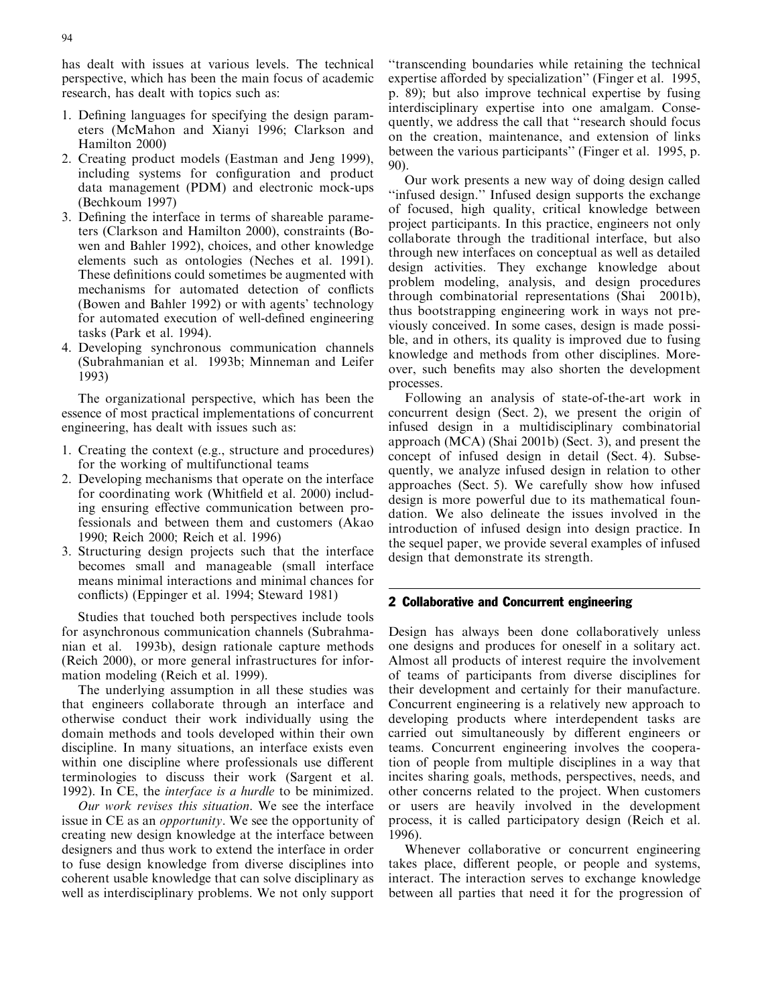has dealt with issues at various levels. The technical perspective, which has been the main focus of academic research, has dealt with topics such as:

- 1. Defining languages for specifying the design parameters (McMahon and Xianyi 1996; Clarkson and Hamilton 2000)
- 2. Creating product models (Eastman and Jeng 1999), including systems for configuration and product data management (PDM) and electronic mock-ups (Bechkoum 1997)
- 3. Defining the interface in terms of shareable parameters (Clarkson and Hamilton 2000), constraints (Bowen and Bahler 1992), choices, and other knowledge elements such as ontologies (Neches et al. 1991). These definitions could sometimes be augmented with mechanisms for automated detection of conflicts (Bowen and Bahler 1992) or with agents' technology for automated execution of well-defined engineering tasks (Park et al. 1994).
- 4. Developing synchronous communication channels (Subrahmanian et al. 1993b; Minneman and Leifer 1993)

The organizational perspective, which has been the essence of most practical implementations of concurrent engineering, has dealt with issues such as:

- 1. Creating the context (e.g., structure and procedures) for the working of multifunctional teams
- 2. Developing mechanisms that operate on the interface for coordinating work (Whitfield et al. 2000) including ensuring effective communication between professionals and between them and customers (Akao 1990; Reich 2000; Reich et al. 1996)
- 3. Structuring design projects such that the interface becomes small and manageable (small interface means minimal interactions and minimal chances for conflicts) (Eppinger et al. 1994; Steward 1981)

Studies that touched both perspectives include tools for asynchronous communication channels (Subrahmanian et al. 1993b), design rationale capture methods (Reich 2000), or more general infrastructures for information modeling (Reich et al. 1999).

The underlying assumption in all these studies was that engineers collaborate through an interface and otherwise conduct their work individually using the domain methods and tools developed within their own discipline. In many situations, an interface exists even within one discipline where professionals use different terminologies to discuss their work (Sargent et al. 1992). In CE, the interface is a hurdle to be minimized.

Our work revises this situation. We see the interface issue in CE as an opportunity. We see the opportunity of creating new design knowledge at the interface between designers and thus work to extend the interface in order to fuse design knowledge from diverse disciplines into coherent usable knowledge that can solve disciplinary as well as interdisciplinary problems. We not only support

''transcending boundaries while retaining the technical expertise afforded by specialization'' (Finger et al. 1995, p. 89); but also improve technical expertise by fusing interdisciplinary expertise into one amalgam. Consequently, we address the call that ''research should focus on the creation, maintenance, and extension of links between the various participants'' (Finger et al. 1995, p. 90).

Our work presents a new way of doing design called "infused design." Infused design supports the exchange of focused, high quality, critical knowledge between project participants. In this practice, engineers not only collaborate through the traditional interface, but also through new interfaces on conceptual as well as detailed design activities. They exchange knowledge about problem modeling, analysis, and design procedures through combinatorial representations (Shai 2001b), thus bootstrapping engineering work in ways not previously conceived. In some cases, design is made possible, and in others, its quality is improved due to fusing knowledge and methods from other disciplines. Moreover, such benefits may also shorten the development processes.

Following an analysis of state-of-the-art work in concurrent design (Sect. 2), we present the origin of infused design in a multidisciplinary combinatorial approach (MCA) (Shai 2001b) (Sect. 3), and present the concept of infused design in detail (Sect. 4). Subsequently, we analyze infused design in relation to other approaches (Sect. 5). We carefully show how infused design is more powerful due to its mathematical foundation. We also delineate the issues involved in the introduction of infused design into design practice. In the sequel paper, we provide several examples of infused design that demonstrate its strength.

### 2 Collaborative and Concurrent engineering

Design has always been done collaboratively unless one designs and produces for oneself in a solitary act. Almost all products of interest require the involvement of teams of participants from diverse disciplines for their development and certainly for their manufacture. Concurrent engineering is a relatively new approach to developing products where interdependent tasks are carried out simultaneously by different engineers or teams. Concurrent engineering involves the cooperation of people from multiple disciplines in a way that incites sharing goals, methods, perspectives, needs, and other concerns related to the project. When customers or users are heavily involved in the development process, it is called participatory design (Reich et al. 1996).

Whenever collaborative or concurrent engineering takes place, different people, or people and systems, interact. The interaction serves to exchange knowledge between all parties that need it for the progression of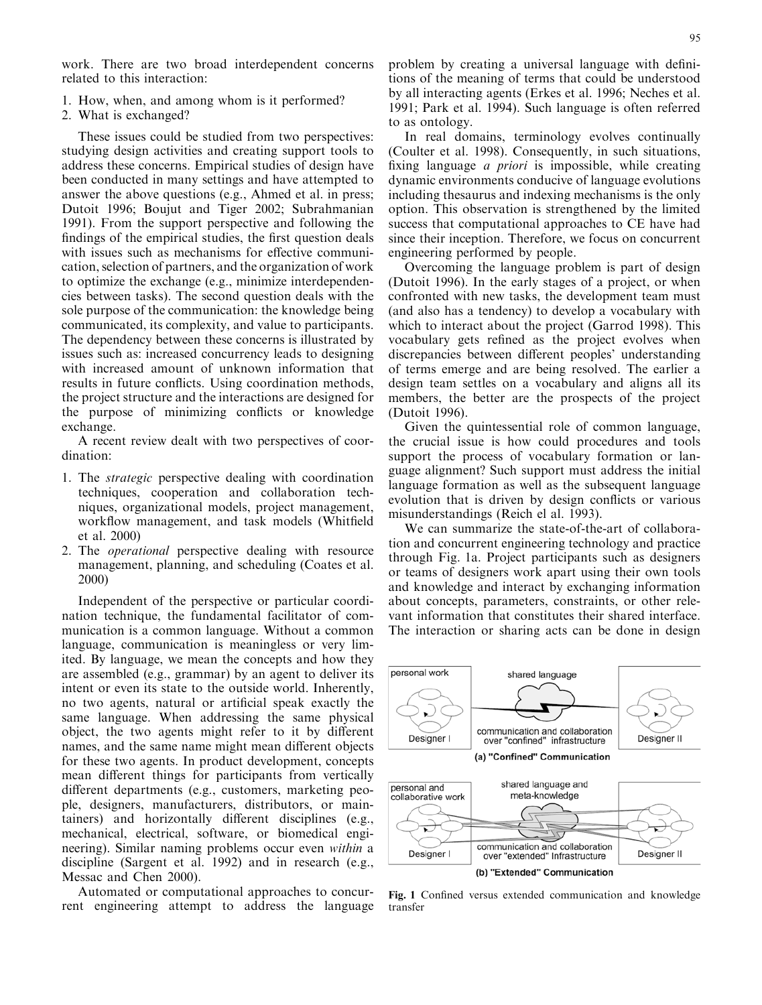work. There are two broad interdependent concerns related to this interaction:

- 1. How, when, and among whom is it performed?
- 2. What is exchanged?

These issues could be studied from two perspectives: studying design activities and creating support tools to address these concerns. Empirical studies of design have been conducted in many settings and have attempted to answer the above questions (e.g., Ahmed et al. in press; Dutoit 1996; Boujut and Tiger 2002; Subrahmanian 1991). From the support perspective and following the findings of the empirical studies, the first question deals with issues such as mechanisms for effective communication, selection of partners, and the organization of work to optimize the exchange (e.g., minimize interdependencies between tasks). The second question deals with the sole purpose of the communication: the knowledge being communicated, its complexity, and value to participants. The dependency between these concerns is illustrated by issues such as: increased concurrency leads to designing with increased amount of unknown information that results in future conflicts. Using coordination methods, the project structure and the interactions are designed for the purpose of minimizing conflicts or knowledge exchange.

A recent review dealt with two perspectives of coordination:

- 1. The strategic perspective dealing with coordination techniques, cooperation and collaboration techniques, organizational models, project management, workflow management, and task models (Whitfield et al. 2000)
- 2. The operational perspective dealing with resource management, planning, and scheduling (Coates et al. 2000)

Independent of the perspective or particular coordination technique, the fundamental facilitator of communication is a common language. Without a common language, communication is meaningless or very limited. By language, we mean the concepts and how they are assembled (e.g., grammar) by an agent to deliver its intent or even its state to the outside world. Inherently, no two agents, natural or artificial speak exactly the same language. When addressing the same physical object, the two agents might refer to it by different names, and the same name might mean different objects for these two agents. In product development, concepts mean different things for participants from vertically different departments (e.g., customers, marketing people, designers, manufacturers, distributors, or maintainers) and horizontally different disciplines (e.g., mechanical, electrical, software, or biomedical engineering). Similar naming problems occur even within a discipline (Sargent et al. 1992) and in research (e.g., Messac and Chen 2000).

Automated or computational approaches to concurrent engineering attempt to address the language problem by creating a universal language with definitions of the meaning of terms that could be understood by all interacting agents (Erkes et al. 1996; Neches et al. 1991; Park et al. 1994). Such language is often referred to as ontology.

In real domains, terminology evolves continually (Coulter et al. 1998). Consequently, in such situations, fixing language a priori is impossible, while creating dynamic environments conducive of language evolutions including thesaurus and indexing mechanisms is the only option. This observation is strengthened by the limited success that computational approaches to CE have had since their inception. Therefore, we focus on concurrent engineering performed by people.

Overcoming the language problem is part of design (Dutoit 1996). In the early stages of a project, or when confronted with new tasks, the development team must (and also has a tendency) to develop a vocabulary with which to interact about the project (Garrod 1998). This vocabulary gets refined as the project evolves when discrepancies between different peoples' understanding of terms emerge and are being resolved. The earlier a design team settles on a vocabulary and aligns all its members, the better are the prospects of the project (Dutoit 1996).

Given the quintessential role of common language, the crucial issue is how could procedures and tools support the process of vocabulary formation or language alignment? Such support must address the initial language formation as well as the subsequent language evolution that is driven by design conflicts or various misunderstandings (Reich el al. 1993).

We can summarize the state-of-the-art of collaboration and concurrent engineering technology and practice through Fig. 1a. Project participants such as designers or teams of designers work apart using their own tools and knowledge and interact by exchanging information about concepts, parameters, constraints, or other relevant information that constitutes their shared interface. The interaction or sharing acts can be done in design



Fig. 1 Confined versus extended communication and knowledge transfer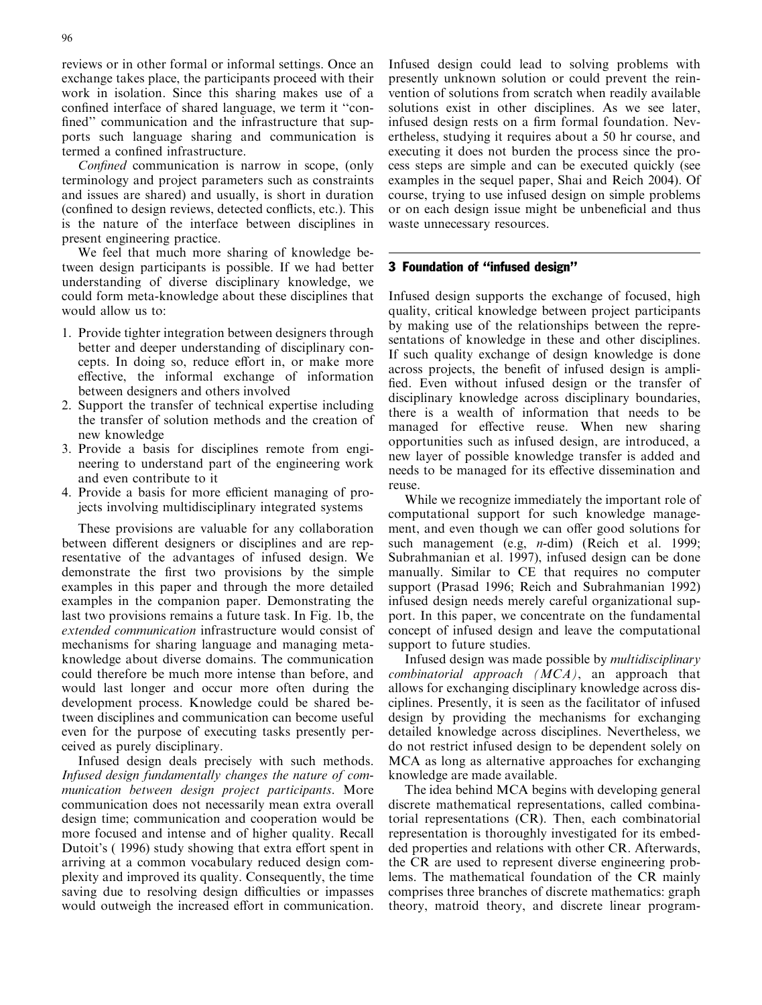reviews or in other formal or informal settings. Once an exchange takes place, the participants proceed with their work in isolation. Since this sharing makes use of a confined interface of shared language, we term it ''confined'' communication and the infrastructure that supports such language sharing and communication is termed a confined infrastructure.

Confined communication is narrow in scope, (only terminology and project parameters such as constraints and issues are shared) and usually, is short in duration (confined to design reviews, detected conflicts, etc.). This is the nature of the interface between disciplines in present engineering practice.

We feel that much more sharing of knowledge between design participants is possible. If we had better understanding of diverse disciplinary knowledge, we could form meta-knowledge about these disciplines that would allow us to:

- 1. Provide tighter integration between designers through better and deeper understanding of disciplinary concepts. In doing so, reduce effort in, or make more effective, the informal exchange of information between designers and others involved
- 2. Support the transfer of technical expertise including the transfer of solution methods and the creation of new knowledge
- 3. Provide a basis for disciplines remote from engineering to understand part of the engineering work and even contribute to it
- 4. Provide a basis for more efficient managing of projects involving multidisciplinary integrated systems

These provisions are valuable for any collaboration between different designers or disciplines and are representative of the advantages of infused design. We demonstrate the first two provisions by the simple examples in this paper and through the more detailed examples in the companion paper. Demonstrating the last two provisions remains a future task. In Fig. 1b, the extended communication infrastructure would consist of mechanisms for sharing language and managing metaknowledge about diverse domains. The communication could therefore be much more intense than before, and would last longer and occur more often during the development process. Knowledge could be shared between disciplines and communication can become useful even for the purpose of executing tasks presently perceived as purely disciplinary.

Infused design deals precisely with such methods. Infused design fundamentally changes the nature of communication between design project participants. More communication does not necessarily mean extra overall design time; communication and cooperation would be more focused and intense and of higher quality. Recall Dutoit's ( 1996) study showing that extra effort spent in arriving at a common vocabulary reduced design complexity and improved its quality. Consequently, the time saving due to resolving design difficulties or impasses would outweigh the increased effort in communication.

Infused design could lead to solving problems with presently unknown solution or could prevent the reinvention of solutions from scratch when readily available solutions exist in other disciplines. As we see later, infused design rests on a firm formal foundation. Nevertheless, studying it requires about a 50 hr course, and executing it does not burden the process since the process steps are simple and can be executed quickly (see examples in the sequel paper, Shai and Reich 2004). Of course, trying to use infused design on simple problems or on each design issue might be unbeneficial and thus waste unnecessary resources.

### 3 Foundation of ''infused design''

Infused design supports the exchange of focused, high quality, critical knowledge between project participants by making use of the relationships between the representations of knowledge in these and other disciplines. If such quality exchange of design knowledge is done across projects, the benefit of infused design is amplified. Even without infused design or the transfer of disciplinary knowledge across disciplinary boundaries, there is a wealth of information that needs to be managed for effective reuse. When new sharing opportunities such as infused design, are introduced, a new layer of possible knowledge transfer is added and needs to be managed for its effective dissemination and reuse.

While we recognize immediately the important role of computational support for such knowledge management, and even though we can offer good solutions for such management (e.g, *n*-dim) (Reich et al. 1999; Subrahmanian et al. 1997), infused design can be done manually. Similar to CE that requires no computer support (Prasad 1996; Reich and Subrahmanian 1992) infused design needs merely careful organizational support. In this paper, we concentrate on the fundamental concept of infused design and leave the computational support to future studies.

Infused design was made possible by multidisciplinary *combinatorial approach*  $(MCA)$ , an approach that allows for exchanging disciplinary knowledge across disciplines. Presently, it is seen as the facilitator of infused design by providing the mechanisms for exchanging detailed knowledge across disciplines. Nevertheless, we do not restrict infused design to be dependent solely on MCA as long as alternative approaches for exchanging knowledge are made available.

The idea behind MCA begins with developing general discrete mathematical representations, called combinatorial representations (CR). Then, each combinatorial representation is thoroughly investigated for its embedded properties and relations with other CR. Afterwards, the CR are used to represent diverse engineering problems. The mathematical foundation of the CR mainly comprises three branches of discrete mathematics: graph theory, matroid theory, and discrete linear program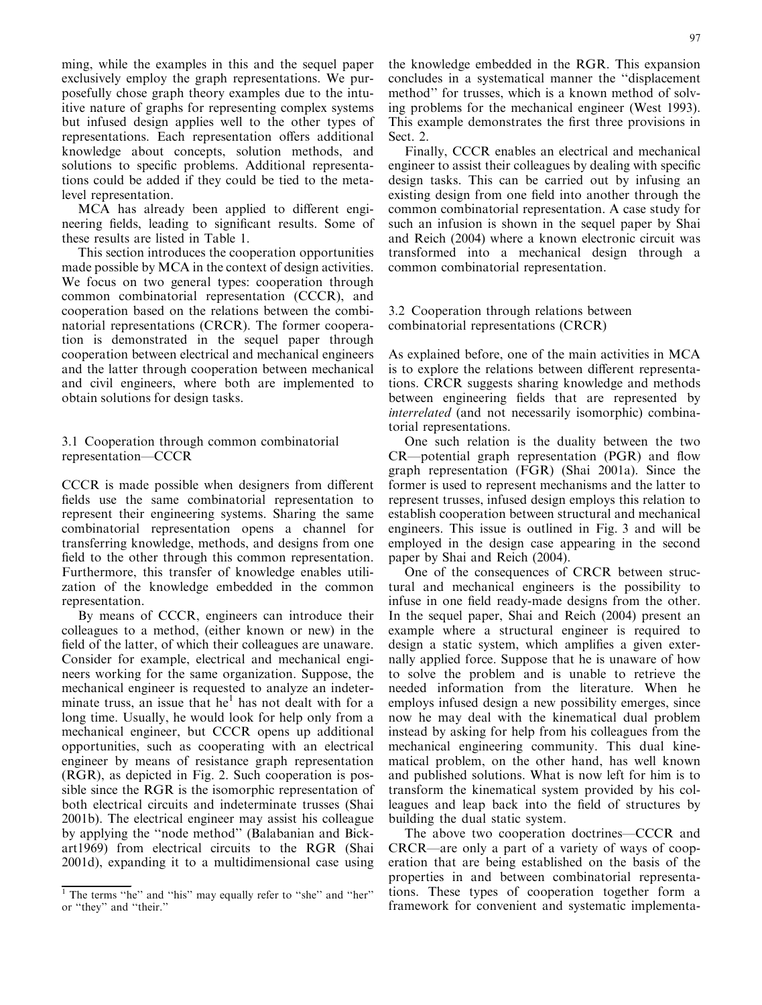ming, while the examples in this and the sequel paper exclusively employ the graph representations. We purposefully chose graph theory examples due to the intuitive nature of graphs for representing complex systems but infused design applies well to the other types of representations. Each representation offers additional knowledge about concepts, solution methods, and solutions to specific problems. Additional representations could be added if they could be tied to the metalevel representation.

MCA has already been applied to different engineering fields, leading to significant results. Some of these results are listed in Table 1.

This section introduces the cooperation opportunities made possible by MCA in the context of design activities. We focus on two general types: cooperation through common combinatorial representation (CCCR), and cooperation based on the relations between the combinatorial representations (CRCR). The former cooperation is demonstrated in the sequel paper through cooperation between electrical and mechanical engineers and the latter through cooperation between mechanical and civil engineers, where both are implemented to obtain solutions for design tasks.

## 3.1 Cooperation through common combinatorial representation—CCCR

CCCR is made possible when designers from different fields use the same combinatorial representation to represent their engineering systems. Sharing the same combinatorial representation opens a channel for transferring knowledge, methods, and designs from one field to the other through this common representation. Furthermore, this transfer of knowledge enables utilization of the knowledge embedded in the common representation.

By means of CCCR, engineers can introduce their colleagues to a method, (either known or new) in the field of the latter, of which their colleagues are unaware. Consider for example, electrical and mechanical engineers working for the same organization. Suppose, the mechanical engineer is requested to analyze an indeterminate truss, an issue that  $he<sup>1</sup>$  has not dealt with for a long time. Usually, he would look for help only from a mechanical engineer, but CCCR opens up additional opportunities, such as cooperating with an electrical engineer by means of resistance graph representation (RGR), as depicted in Fig. 2. Such cooperation is possible since the RGR is the isomorphic representation of both electrical circuits and indeterminate trusses (Shai 2001b). The electrical engineer may assist his colleague by applying the ''node method'' (Balabanian and Bickart1969) from electrical circuits to the RGR (Shai 2001d), expanding it to a multidimensional case using

the knowledge embedded in the RGR. This expansion concludes in a systematical manner the ''displacement method'' for trusses, which is a known method of solving problems for the mechanical engineer (West 1993). This example demonstrates the first three provisions in Sect. 2.

Finally, CCCR enables an electrical and mechanical engineer to assist their colleagues by dealing with specific design tasks. This can be carried out by infusing an existing design from one field into another through the common combinatorial representation. A case study for such an infusion is shown in the sequel paper by Shai and Reich (2004) where a known electronic circuit was transformed into a mechanical design through a common combinatorial representation.

### 3.2 Cooperation through relations between combinatorial representations (CRCR)

As explained before, one of the main activities in MCA is to explore the relations between different representations. CRCR suggests sharing knowledge and methods between engineering fields that are represented by interrelated (and not necessarily isomorphic) combinatorial representations.

One such relation is the duality between the two CR—potential graph representation (PGR) and flow graph representation (FGR) (Shai 2001a). Since the former is used to represent mechanisms and the latter to represent trusses, infused design employs this relation to establish cooperation between structural and mechanical engineers. This issue is outlined in Fig. 3 and will be employed in the design case appearing in the second paper by Shai and Reich (2004).

One of the consequences of CRCR between structural and mechanical engineers is the possibility to infuse in one field ready-made designs from the other. In the sequel paper, Shai and Reich (2004) present an example where a structural engineer is required to design a static system, which amplifies a given externally applied force. Suppose that he is unaware of how to solve the problem and is unable to retrieve the needed information from the literature. When he employs infused design a new possibility emerges, since now he may deal with the kinematical dual problem instead by asking for help from his colleagues from the mechanical engineering community. This dual kinematical problem, on the other hand, has well known and published solutions. What is now left for him is to transform the kinematical system provided by his colleagues and leap back into the field of structures by building the dual static system.

The above two cooperation doctrines—CCCR and CRCR—are only a part of a variety of ways of cooperation that are being established on the basis of the properties in and between combinatorial representations. These types of cooperation together form a framework for convenient and systematic implementa-

<sup>&</sup>lt;sup>1</sup> The terms "he" and "his" may equally refer to "she" and "her" or ''they'' and ''their.''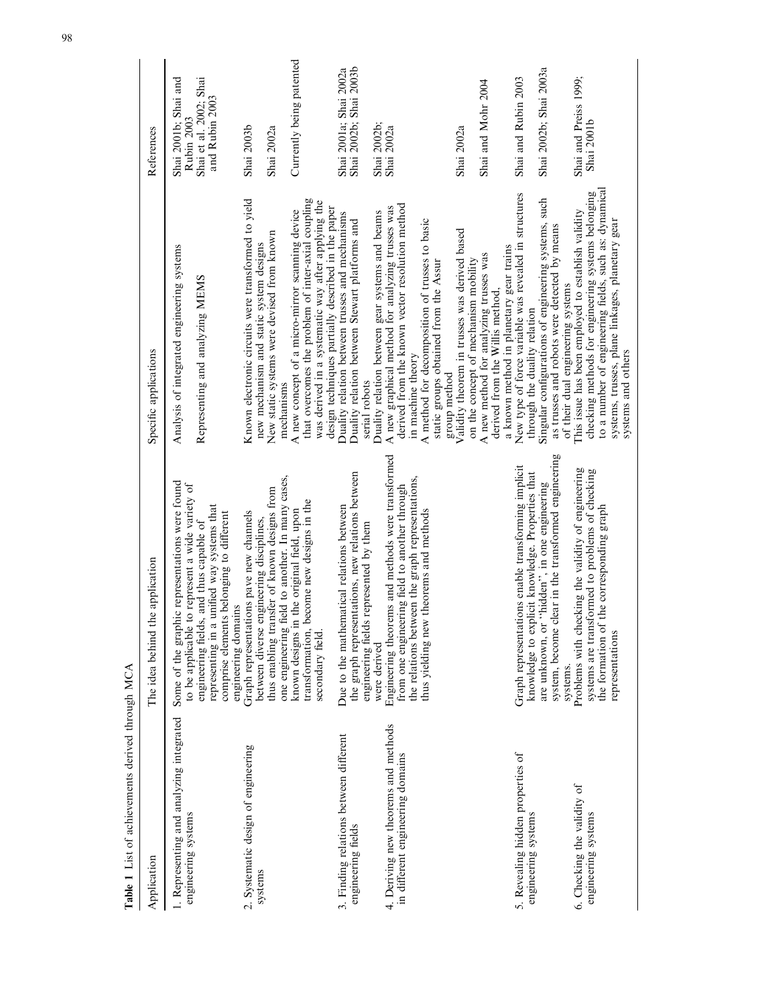| Table 1 List of achievements derived through MCA                         |                                                                                                                                                                                                                                                                                                                  |                                                                                                                                                                                                                                                                                                                                                                                 |                                                                                |
|--------------------------------------------------------------------------|------------------------------------------------------------------------------------------------------------------------------------------------------------------------------------------------------------------------------------------------------------------------------------------------------------------|---------------------------------------------------------------------------------------------------------------------------------------------------------------------------------------------------------------------------------------------------------------------------------------------------------------------------------------------------------------------------------|--------------------------------------------------------------------------------|
| Application                                                              | the application<br>The idea behind                                                                                                                                                                                                                                                                               | Specific applications                                                                                                                                                                                                                                                                                                                                                           | References                                                                     |
| 1. Representing and analyzing integrated<br>engineering systems          | Some of the graphic representations were found<br>to be applicable to represent a wide variety of<br>representing in a unified way systems that<br>comprise elements belonging to different<br>engineering fields, and thus capable of<br>engineering domains                                                    | Analysis of integrated engineering systems<br>Representing and analyzing MEMS                                                                                                                                                                                                                                                                                                   | Shai 2001b; Shai and<br>Shai et al. 2002; Shai<br>and Rubin 2003<br>Rubin 2003 |
| 2. Systematic design of engineering<br>systems                           | field to another. In many cases,<br>thus enabling transfer of known designs from<br>become new designs in the<br>in the original field, upon<br>Graph representations pave new channels<br>between diverse engineering disciplines,<br>one engineering<br>known designs i<br>transformation,<br>secondary field. | Known electronic circuits were transformed to yield<br>that overcomes the problem of inter-axial coupling<br>was derived in a systematic way after applying the<br>design techniques partially described in the paper<br>A new concept of a micro-mirror scanning device<br>New static systems were devised from known<br>new mechanism and static system designs<br>mechanisms | Currently being patented<br>Shai 2003b<br>Shai 2002a                           |
| 3. Finding relations between different<br>engineering fields             | the graph representations, new relations between<br>Due to the mathematical relations between<br>engineering fields represented by them<br>were derived                                                                                                                                                          | Duality relation between gear systems and beams<br>Duality relation between trusses and mechanisms<br>Duality relation between Stewart platforms and<br>serial robots                                                                                                                                                                                                           | Shai 2002b; Shai 2003b<br>Shai 2001a; Shai 2002a<br>Shai 2002b;                |
| 4. Deriving new theorems and methods<br>in different engineering domains | Engineering theorems and methods were transformed<br>the relations between the graph representations,<br>from one engineering field to another through<br>thus yielding new theorems and methods                                                                                                                 | derived from the known vector resolution method<br>A new graphical method for analyzing trusses was<br>A method for decomposition of trusses to basic<br>Validity theorem in trusses was derived based<br>A new method for analyzing trusses was<br>on the concept of mechanism mobility<br>static groups obtained from the Assur<br>in machine theory<br>group method          | Shai and Mohr 2004<br>Shai 2002a<br>Shai 2002a                                 |
|                                                                          |                                                                                                                                                                                                                                                                                                                  | a known method in planetary gear trains<br>derived from the Willis method.                                                                                                                                                                                                                                                                                                      |                                                                                |
| 5. Revealing hidden properties of<br>engineering systems                 | clear in the transformed engineering<br>Graph representations enable transforming implicit<br>knowledge to explicit knowledge. Properties that<br>are unknown, or "hidden", in one engineering<br>system, become<br>systems.                                                                                     | New type of force variable was revealed in structures<br>Singular configurations of engineering systems, such<br>as trusses and robots were detected by means<br>of their dual engineering systems<br>through the duality relation                                                                                                                                              | Shai 2002b; Shai 2003a<br>Shai and Rubin 2003                                  |
| 6. Checking the validity of<br>engineering systems                       | Problems with checking the validity of engineering<br>systems are transformed to problems of checking<br>the formation of the corresponding graph<br>representations                                                                                                                                             | to a number of engineering fields, such as: dynamical<br>checking methods for engineering systems belonging<br>This issue has been employed to establish validity<br>systems, trusses, plane linkages, planetary gear<br>systems and others                                                                                                                                     | Shai and Preiss 1999;<br>Shai 2001b                                            |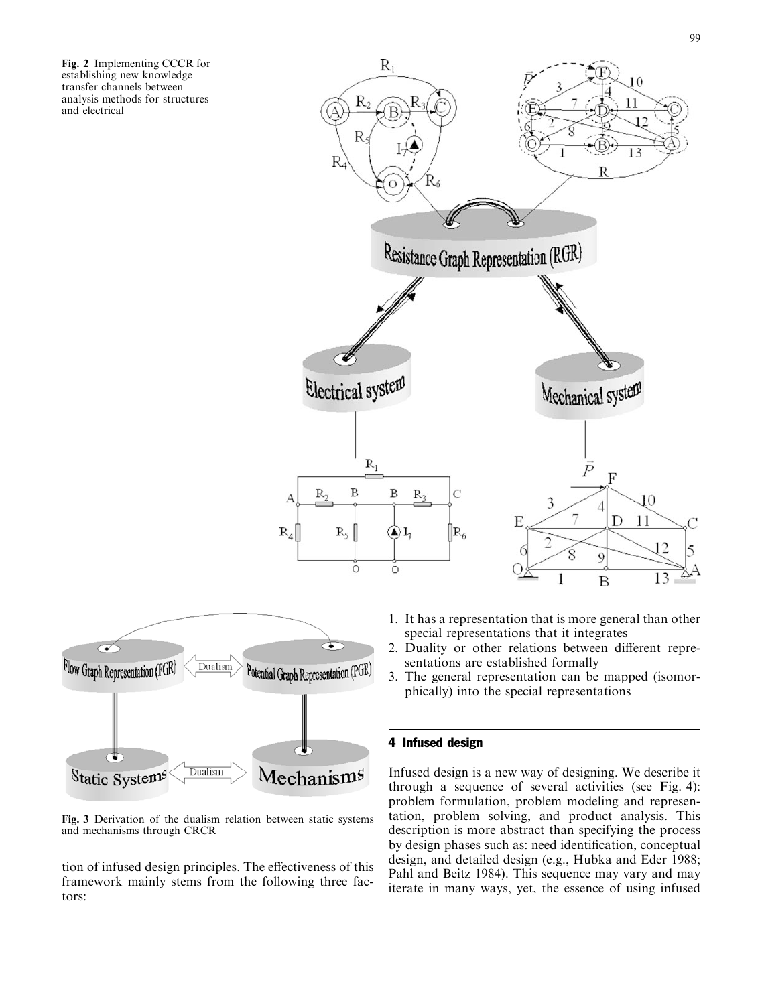Fig. 2 Implementing CCCR for establishing new knowledge transfer channels between analysis methods for structures and electrical





 $\Delta$ 

 $R_4$ 

Fig. 3 Derivation of the dualism relation between static systems and mechanisms through CRCR

tion of infused design principles. The effectiveness of this framework mainly stems from the following three factors:

- 1. It has a representation that is more general than other special representations that it integrates
- 2. Duality or other relations between different representations are established formally
- 3. The general representation can be mapped (isomorphically) into the special representations

# 4 Infused design

Infused design is a new way of designing. We describe it through a sequence of several activities (see Fig. 4): problem formulation, problem modeling and representation, problem solving, and product analysis. This description is more abstract than specifying the process by design phases such as: need identification, conceptual design, and detailed design (e.g., Hubka and Eder 1988; Pahl and Beitz 1984). This sequence may vary and may iterate in many ways, yet, the essence of using infused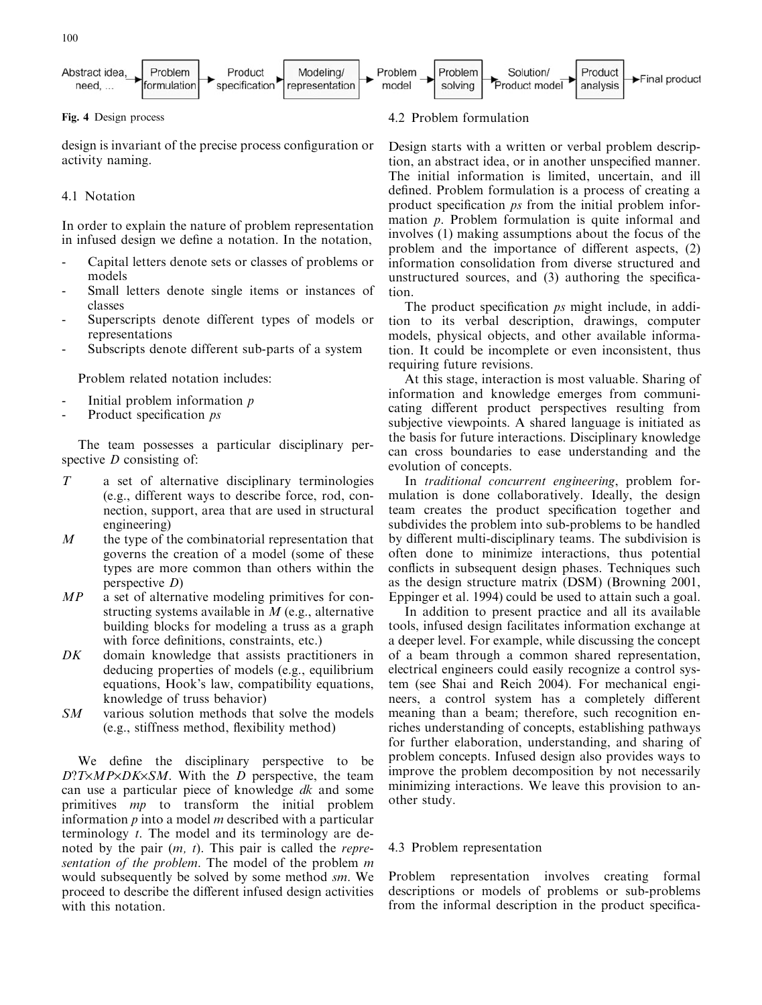100



Fig. 4 Design process

design is invariant of the precise process configuration or activity naming.

# 4.1 Notation

In order to explain the nature of problem representation in infused design we define a notation. In the notation,

- Capital letters denote sets or classes of problems or models
- Small letters denote single items or instances of classes
- Superscripts denote different types of models or representations
- Subscripts denote different sub-parts of a system

Problem related notation includes:

- Initial problem information  $p$
- Product specification *ps*

The team possesses a particular disciplinary perspective *D* consisting of:

- T a set of alternative disciplinary terminologies (e.g., different ways to describe force, rod, connection, support, area that are used in structural engineering)
- $M$  the type of the combinatorial representation that governs the creation of a model (some of these types are more common than others within the perspective  $D$ )
- MP a set of alternative modeling primitives for constructing systems available in  $M$  (e.g., alternative building blocks for modeling a truss as a graph with force definitions, constraints, etc.)
- DK domain knowledge that assists practitioners in deducing properties of models (e.g., equilibrium equations, Hook's law, compatibility equations, knowledge of truss behavior)
- SM various solution methods that solve the models (e.g., stiffness method, flexibility method)

We define the disciplinary perspective to be  $D?T\times MP\times DK\times SM$ . With the D perspective, the team can use a particular piece of knowledge dk and some primitives mp to transform the initial problem information  $p$  into a model  $m$  described with a particular terminology t. The model and its terminology are denoted by the pair  $(m, t)$ . This pair is called the *repre*sentation of the problem. The model of the problem m would subsequently be solved by some method sm. We proceed to describe the different infused design activities with this notation.

### 4.2 Problem formulation

Design starts with a written or verbal problem description, an abstract idea, or in another unspecified manner. The initial information is limited, uncertain, and ill defined. Problem formulation is a process of creating a product specification ps from the initial problem information *p*. Problem formulation is quite informal and involves (1) making assumptions about the focus of the problem and the importance of different aspects, (2) information consolidation from diverse structured and unstructured sources, and (3) authoring the specification.

The product specification ps might include, in addition to its verbal description, drawings, computer models, physical objects, and other available information. It could be incomplete or even inconsistent, thus requiring future revisions.

At this stage, interaction is most valuable. Sharing of information and knowledge emerges from communicating different product perspectives resulting from subjective viewpoints. A shared language is initiated as the basis for future interactions. Disciplinary knowledge can cross boundaries to ease understanding and the evolution of concepts.

In traditional concurrent engineering, problem formulation is done collaboratively. Ideally, the design team creates the product specification together and subdivides the problem into sub-problems to be handled by different multi-disciplinary teams. The subdivision is often done to minimize interactions, thus potential conflicts in subsequent design phases. Techniques such as the design structure matrix (DSM) (Browning 2001, Eppinger et al. 1994) could be used to attain such a goal.

In addition to present practice and all its available tools, infused design facilitates information exchange at a deeper level. For example, while discussing the concept of a beam through a common shared representation, electrical engineers could easily recognize a control system (see Shai and Reich 2004). For mechanical engineers, a control system has a completely different meaning than a beam; therefore, such recognition enriches understanding of concepts, establishing pathways for further elaboration, understanding, and sharing of problem concepts. Infused design also provides ways to improve the problem decomposition by not necessarily minimizing interactions. We leave this provision to another study.

# 4.3 Problem representation

Problem representation involves creating formal descriptions or models of problems or sub-problems from the informal description in the product specifica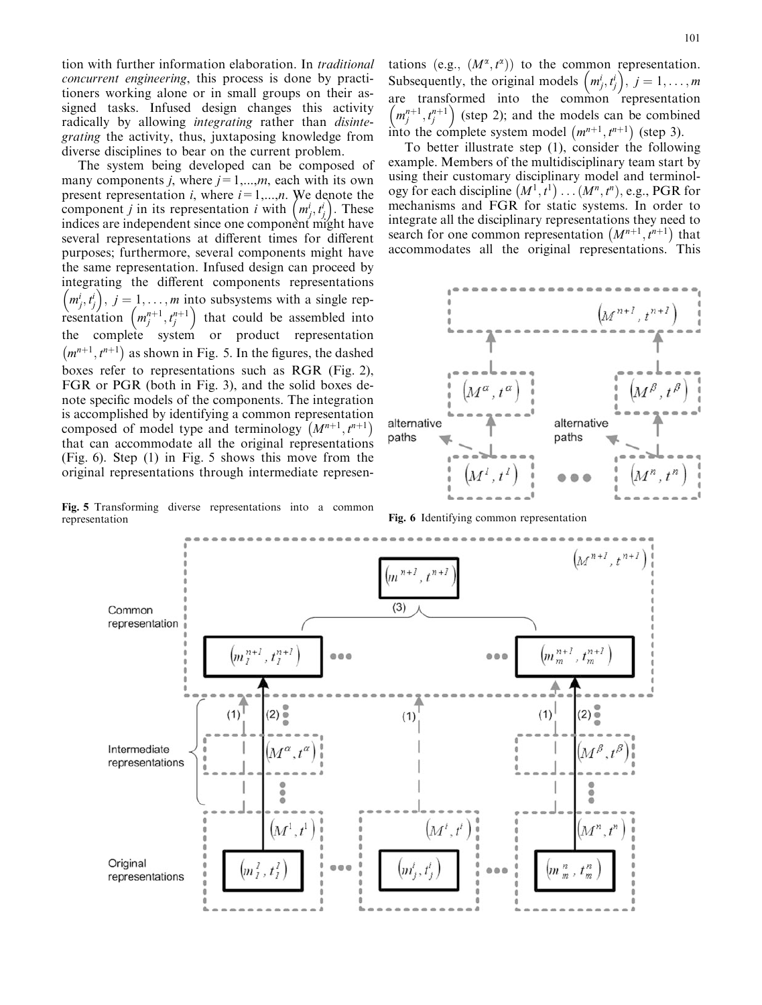tion with further information elaboration. In traditional concurrent engineering, this process is done by practitioners working alone or in small groups on their assigned tasks. Infused design changes this activity radically by allowing integrating rather than disintegrating the activity, thus, juxtaposing knowledge from diverse disciplines to bear on the current problem.

The system being developed can be composed of many components *j*, where  $j = 1,...,m$ , each with its own present representation *i*, where  $i = 1,...,n$ . We denote the component *j* in its representation *i* with  $\left(m_j^i, t_j^i\right)$ . These indices are independent since one component might have several representations at different times for different purposes; furthermore, several components might have the same representation. Infused design can proceed by integrating the different components representations  $(m_j^i, t_j^i)$ ,  $j = 1, \ldots, m$  into subsystems with a single representation  $\left(m_j^{n+1}, t_j^{n+1}\right)$ ) that could be assembled into the complete system or product representation  $(m^{n+1}, t^{n+1})$  as shown in Fig. 5. In the figures, the dashed boxes refer to representations such as RGR (Fig. 2), FGR or PGR (both in Fig. 3), and the solid boxes denote specific models of the components. The integration is accomplished by identifying a common representation composed of model type and terminology  $(M^{n+1}, t^{n+1})$ that can accommodate all the original representations (Fig. 6). Step (1) in Fig. 5 shows this move from the original representations through intermediate represen-

Fig. 5 Transforming diverse representations into a common representation Fig. 6 Identifying common representation

tations (e.g.,  $(M^{\alpha}, t^{\alpha})$ ) to the common representation. Subsequently, the original models  $\left(m_j^i, t_j^i\right), j = 1, \ldots, m$ are transformed into the common representation  $(m_j^{n+1}, t_j^{n+1})$  (step 2); and the models can be combined into the complete system model  $(m^{n+1}, t^{n+1})$  (step 3).

To better illustrate step (1), consider the following example. Members of the multidisciplinary team start by using their customary disciplinary model and terminollocal discriming discriptinary induct and definition-<br>ogy for each discipline  $(M^1, t^1) \dots (M^n, t^n)$ , e.g., PGR for mechanisms and FGR for static systems. In order to integrate all the disciplinary representations they need to search for one common representation  $(M^{n+1}, t^{n+1})$  that accommodates all the original representations. This



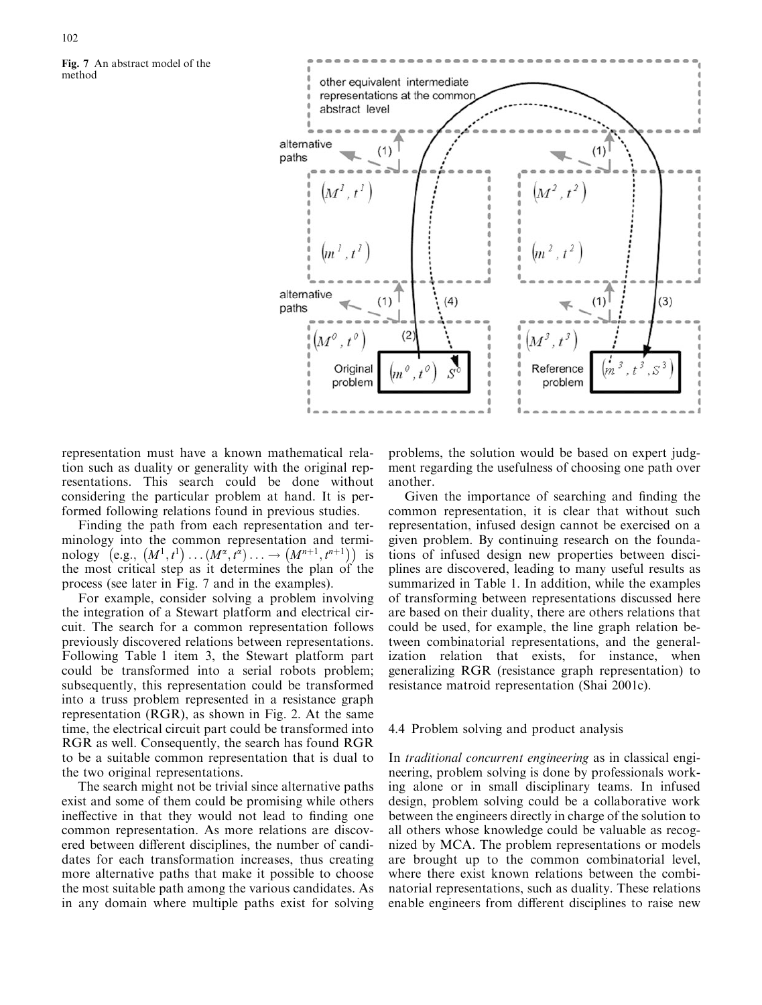Fig. 7 An abstract model of the method



representation must have a known mathematical relation such as duality or generality with the original representations. This search could be done without considering the particular problem at hand. It is performed following relations found in previous studies.

Finding the path from each representation and terminology into the common representation and terminology (e.g.,  $(M^1, t^1) \dots (M^{\alpha}, t^{\alpha}) \dots \rightarrow (M^{n+1}, t^{n+1})$ ) is the most critical step as it determines the plan of the process (see later in Fig. 7 and in the examples).

For example, consider solving a problem involving the integration of a Stewart platform and electrical circuit. The search for a common representation follows previously discovered relations between representations. Following Table 1 item 3, the Stewart platform part could be transformed into a serial robots problem; subsequently, this representation could be transformed into a truss problem represented in a resistance graph representation (RGR), as shown in Fig. 2. At the same time, the electrical circuit part could be transformed into RGR as well. Consequently, the search has found RGR to be a suitable common representation that is dual to the two original representations.

The search might not be trivial since alternative paths exist and some of them could be promising while others ineffective in that they would not lead to finding one common representation. As more relations are discovered between different disciplines, the number of candidates for each transformation increases, thus creating more alternative paths that make it possible to choose the most suitable path among the various candidates. As in any domain where multiple paths exist for solving problems, the solution would be based on expert judgment regarding the usefulness of choosing one path over another.

Given the importance of searching and finding the common representation, it is clear that without such representation, infused design cannot be exercised on a given problem. By continuing research on the foundations of infused design new properties between disciplines are discovered, leading to many useful results as summarized in Table 1. In addition, while the examples of transforming between representations discussed here are based on their duality, there are others relations that could be used, for example, the line graph relation between combinatorial representations, and the generalization relation that exists, for instance, when generalizing RGR (resistance graph representation) to resistance matroid representation (Shai 2001c).

### 4.4 Problem solving and product analysis

In traditional concurrent engineering as in classical engineering, problem solving is done by professionals working alone or in small disciplinary teams. In infused design, problem solving could be a collaborative work between the engineers directly in charge of the solution to all others whose knowledge could be valuable as recognized by MCA. The problem representations or models are brought up to the common combinatorial level, where there exist known relations between the combinatorial representations, such as duality. These relations enable engineers from different disciplines to raise new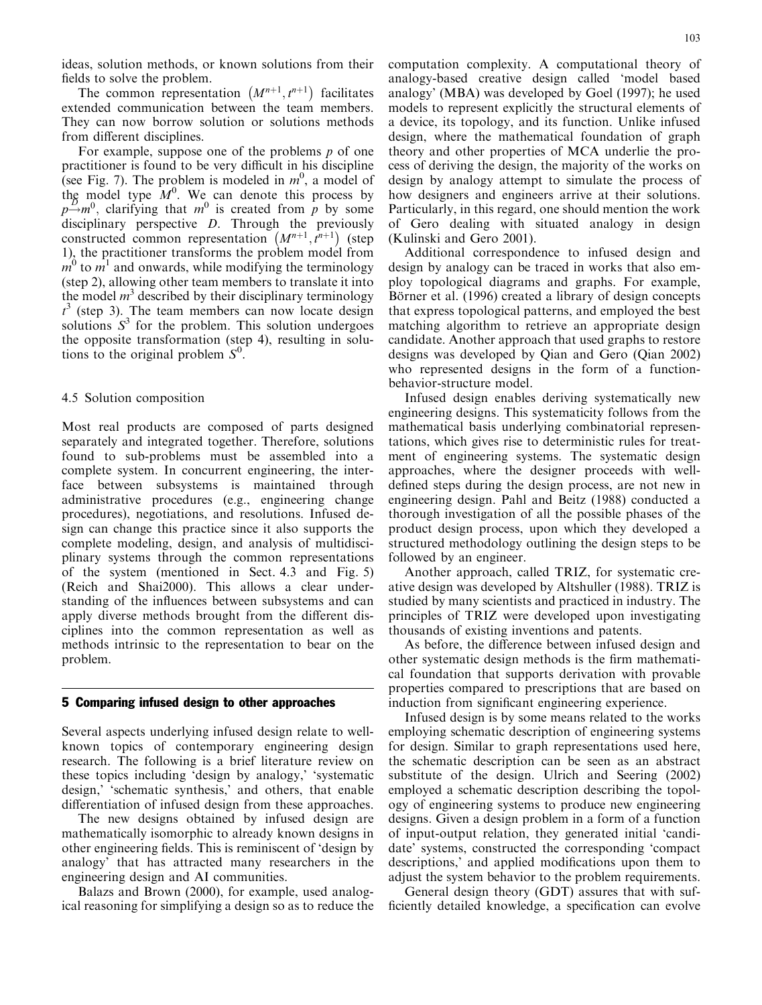ideas, solution methods, or known solutions from their fields to solve the problem.

The common representation  $(M^{n+1}, t^{n+1})$  facilitates extended communication between the team members. They can now borrow solution or solutions methods from different disciplines.

For example, suppose one of the problems  $p$  of one practitioner is found to be very difficult in his discipline (see Fig. 7). The problem is modeled in  $m^0$ , a model of the model type  $M^0$ . We can denote this process by  $p \rightarrow m^0$ , clarifying that  $m^0$  is created from p by some disciplinary perspective *D*. Through the previously constructed common representation  $(M^{n+1}, t^{n+1})$  (step 1), the practitioner transforms the problem model from  $m^{0}$  to  $m^{1}$  and onwards, while modifying the terminology (step 2), allowing other team members to translate it into the model  $m<sup>3</sup>$  described by their disciplinary terminology  $t^3$  (step 3). The team members can now locate design solutions  $S<sup>3</sup>$  for the problem. This solution undergoes the opposite transformation (step 4), resulting in solutions to the original problem  $S^0$ .

### 4.5 Solution composition

Most real products are composed of parts designed separately and integrated together. Therefore, solutions found to sub-problems must be assembled into a complete system. In concurrent engineering, the interface between subsystems is maintained through administrative procedures (e.g., engineering change procedures), negotiations, and resolutions. Infused design can change this practice since it also supports the complete modeling, design, and analysis of multidisciplinary systems through the common representations of the system (mentioned in Sect. 4.3 and Fig. 5) (Reich and Shai2000). This allows a clear understanding of the influences between subsystems and can apply diverse methods brought from the different disciplines into the common representation as well as methods intrinsic to the representation to bear on the problem.

### 5 Comparing infused design to other approaches

Several aspects underlying infused design relate to wellknown topics of contemporary engineering design research. The following is a brief literature review on these topics including 'design by analogy,' 'systematic design,' 'schematic synthesis,' and others, that enable differentiation of infused design from these approaches.

The new designs obtained by infused design are mathematically isomorphic to already known designs in other engineering fields. This is reminiscent of 'design by analogy' that has attracted many researchers in the engineering design and AI communities.

Balazs and Brown (2000), for example, used analogical reasoning for simplifying a design so as to reduce the computation complexity. A computational theory of analogy-based creative design called 'model based analogy' (MBA) was developed by Goel (1997); he used models to represent explicitly the structural elements of a device, its topology, and its function. Unlike infused design, where the mathematical foundation of graph theory and other properties of MCA underlie the process of deriving the design, the majority of the works on design by analogy attempt to simulate the process of how designers and engineers arrive at their solutions. Particularly, in this regard, one should mention the work of Gero dealing with situated analogy in design (Kulinski and Gero 2001).

Additional correspondence to infused design and design by analogy can be traced in works that also employ topological diagrams and graphs. For example, Börner et al. (1996) created a library of design concepts that express topological patterns, and employed the best matching algorithm to retrieve an appropriate design candidate. Another approach that used graphs to restore designs was developed by Qian and Gero (Qian 2002) who represented designs in the form of a functionbehavior-structure model.

Infused design enables deriving systematically new engineering designs. This systematicity follows from the mathematical basis underlying combinatorial representations, which gives rise to deterministic rules for treatment of engineering systems. The systematic design approaches, where the designer proceeds with welldefined steps during the design process, are not new in engineering design. Pahl and Beitz (1988) conducted a thorough investigation of all the possible phases of the product design process, upon which they developed a structured methodology outlining the design steps to be followed by an engineer.

Another approach, called TRIZ, for systematic creative design was developed by Altshuller (1988). TRIZ is studied by many scientists and practiced in industry. The principles of TRIZ were developed upon investigating thousands of existing inventions and patents.

As before, the difference between infused design and other systematic design methods is the firm mathematical foundation that supports derivation with provable properties compared to prescriptions that are based on induction from significant engineering experience.

Infused design is by some means related to the works employing schematic description of engineering systems for design. Similar to graph representations used here, the schematic description can be seen as an abstract substitute of the design. Ulrich and Seering (2002) employed a schematic description describing the topology of engineering systems to produce new engineering designs. Given a design problem in a form of a function of input-output relation, they generated initial 'candidate' systems, constructed the corresponding 'compact descriptions,' and applied modifications upon them to adjust the system behavior to the problem requirements.

General design theory (GDT) assures that with sufficiently detailed knowledge, a specification can evolve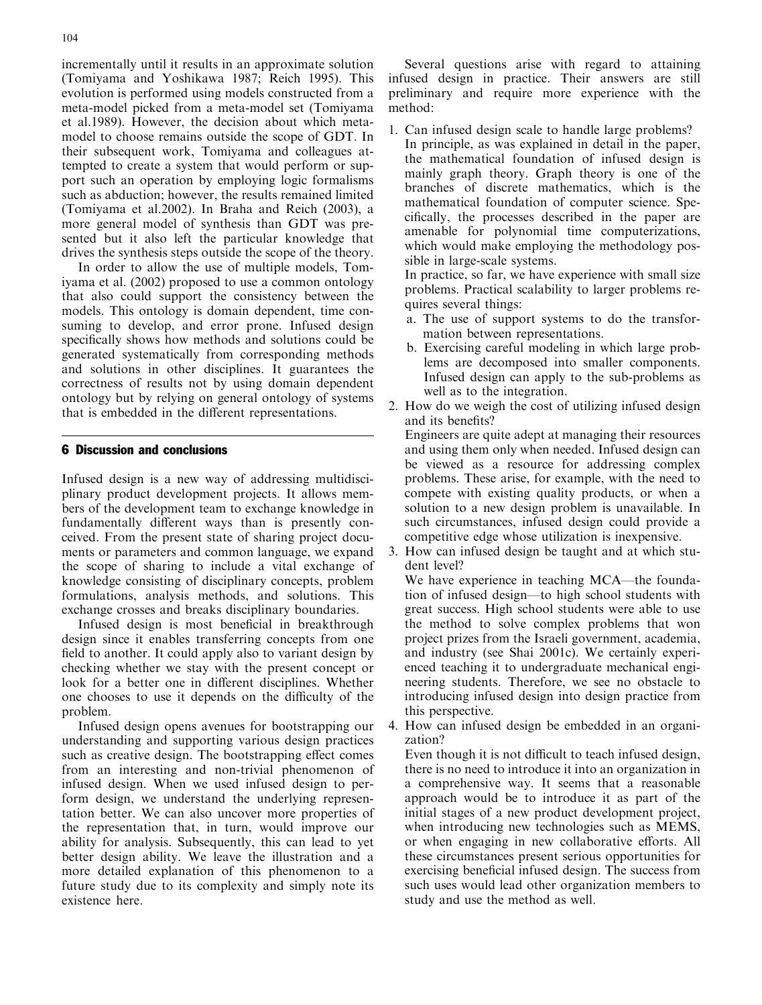incrementally until it results in an approximate solution (Tomiyama and Yoshikawa 1987; Reich 1995). This evolution is performed using models constructed from a meta-model picked from a meta-model set (Tomiyama et al.1989). However, the decision about which metamodel to choose remains outside the scope of GDT. In their subsequent work, Tomiyama and colleagues attempted to create a system that would perform or support such an operation by employing logic formalisms such as abduction; however, the results remained limited (Tomiyama et al.2002). In Braha and Reich (2003), a more general model of synthesis than GDT was presented but it also left the particular knowledge that drives the synthesis steps outside the scope of the theory.

In order to allow the use of multiple models, Tomiyama et al. (2002) proposed to use a common ontology that also could support the consistency between the models. This ontology is domain dependent, time consuming to develop, and error prone. Infused design specifically shows how methods and solutions could be generated systematically from corresponding methods and solutions in other disciplines. It guarantees the correctness of results not by using domain dependent ontology but by relying on general ontology of systems that is embedded in the different representations.

### 6 Discussion and conclusions

Infused design is a new way of addressing multidisciplinary product development projects. It allows members of the development team to exchange knowledge in fundamentally different ways than is presently conceived. From the present state of sharing project documents or parameters and common language, we expand the scope of sharing to include a vital exchange of knowledge consisting of disciplinary concepts, problem formulations, analysis methods, and solutions. This exchange crosses and breaks disciplinary boundaries.

Infused design is most beneficial in breakthrough design since it enables transferring concepts from one field to another. It could apply also to variant design by checking whether we stay with the present concept or look for a better one in different disciplines. Whether one chooses to use it depends on the difficulty of the problem.

Infused design opens avenues for bootstrapping our understanding and supporting various design practices such as creative design. The bootstrapping effect comes from an interesting and non-trivial phenomenon of infused design. When we used infused design to perform design, we understand the underlying representation better. We can also uncover more properties of the representation that, in turn, would improve our ability for analysis. Subsequently, this can lead to yet better design ability. We leave the illustration and a more detailed explanation of this phenomenon to a future study due to its complexity and simply note its existence here.

Several questions arise with regard to attaining infused design in practice. Their answers are still preliminary and require more experience with the method:

1. Can infused design scale to handle large problems? In principle, as was explained in detail in the paper, the mathematical foundation of infused design is mainly graph theory. Graph theory is one of the branches of discrete mathematics, which is the mathematical foundation of computer science. Specifically, the processes described in the paper are amenable for polynomial time computerizations, which would make employing the methodology possible in large-scale systems.

In practice, so far, we have experience with small size problems. Practical scalability to larger problems requires several things:

- a. The use of support systems to do the transformation between representations.
- b. Exercising careful modeling in which large problems are decomposed into smaller components. Infused design can apply to the sub-problems as well as to the integration.
- 2. How do we weigh the cost of utilizing infused design and its benefits?

Engineers are quite adept at managing their resources and using them only when needed. Infused design can be viewed as a resource for addressing complex problems. These arise, for example, with the need to compete with existing quality products, or when a solution to a new design problem is unavailable. In such circumstances, infused design could provide a competitive edge whose utilization is inexpensive.

3. How can infused design be taught and at which student level?

We have experience in teaching MCA—the foundation of infused design—to high school students with great success. High school students were able to use the method to solve complex problems that won project prizes from the Israeli government, academia, and industry (see Shai 2001c). We certainly experienced teaching it to undergraduate mechanical engineering students. Therefore, we see no obstacle to introducing infused design into design practice from this perspective.

4. How can infused design be embedded in an organization?

Even though it is not difficult to teach infused design, there is no need to introduce it into an organization in a comprehensive way. It seems that a reasonable approach would be to introduce it as part of the initial stages of a new product development project, when introducing new technologies such as MEMS, or when engaging in new collaborative efforts. All these circumstances present serious opportunities for exercising beneficial infused design. The success from such uses would lead other organization members to study and use the method as well.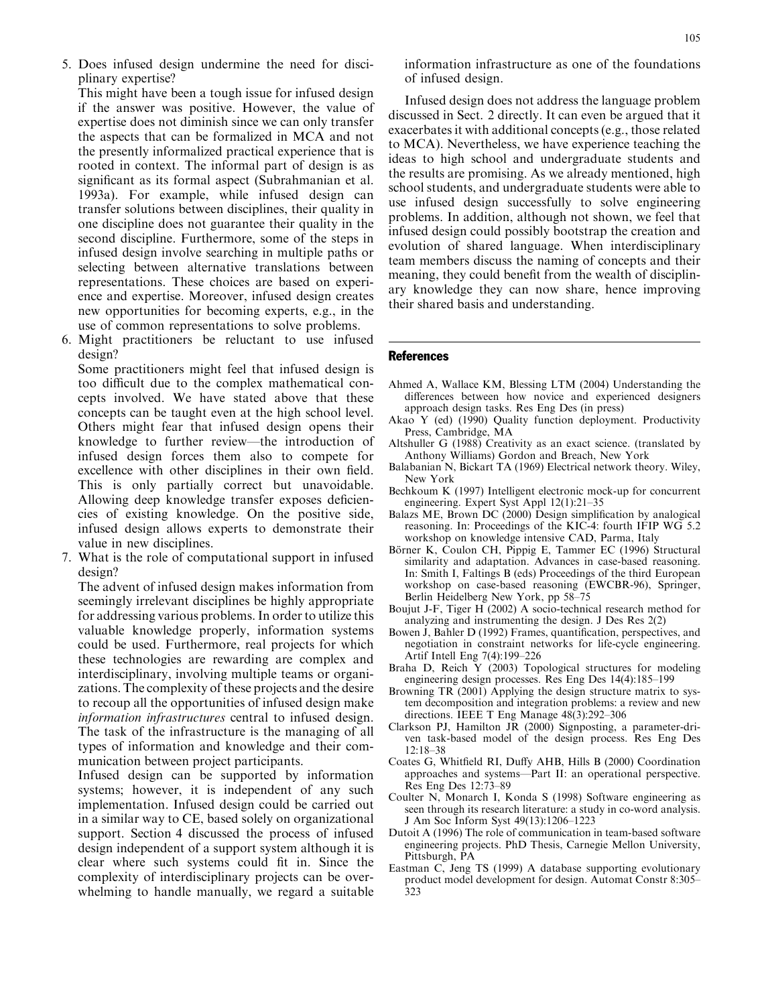5. Does infused design undermine the need for disciplinary expertise?

This might have been a tough issue for infused design if the answer was positive. However, the value of expertise does not diminish since we can only transfer the aspects that can be formalized in MCA and not the presently informalized practical experience that is rooted in context. The informal part of design is as significant as its formal aspect (Subrahmanian et al. 1993a). For example, while infused design can transfer solutions between disciplines, their quality in one discipline does not guarantee their quality in the second discipline. Furthermore, some of the steps in infused design involve searching in multiple paths or selecting between alternative translations between representations. These choices are based on experience and expertise. Moreover, infused design creates new opportunities for becoming experts, e.g., in the use of common representations to solve problems.

6. Might practitioners be reluctant to use infused design?

Some practitioners might feel that infused design is too difficult due to the complex mathematical concepts involved. We have stated above that these concepts can be taught even at the high school level. Others might fear that infused design opens their knowledge to further review—the introduction of infused design forces them also to compete for excellence with other disciplines in their own field. This is only partially correct but unavoidable. Allowing deep knowledge transfer exposes deficiencies of existing knowledge. On the positive side, infused design allows experts to demonstrate their value in new disciplines.

7. What is the role of computational support in infused design?

The advent of infused design makes information from seemingly irrelevant disciplines be highly appropriate for addressing various problems. In order to utilize this valuable knowledge properly, information systems could be used. Furthermore, real projects for which these technologies are rewarding are complex and interdisciplinary, involving multiple teams or organizations. The complexity of these projects and the desire to recoup all the opportunities of infused design make information infrastructures central to infused design. The task of the infrastructure is the managing of all types of information and knowledge and their communication between project participants.

Infused design can be supported by information systems; however, it is independent of any such implementation. Infused design could be carried out in a similar way to CE, based solely on organizational support. Section 4 discussed the process of infused design independent of a support system although it is clear where such systems could fit in. Since the complexity of interdisciplinary projects can be overwhelming to handle manually, we regard a suitable information infrastructure as one of the foundations of infused design.

Infused design does not address the language problem discussed in Sect. 2 directly. It can even be argued that it exacerbates it with additional concepts (e.g., those related to MCA). Nevertheless, we have experience teaching the ideas to high school and undergraduate students and the results are promising. As we already mentioned, high school students, and undergraduate students were able to use infused design successfully to solve engineering problems. In addition, although not shown, we feel that infused design could possibly bootstrap the creation and evolution of shared language. When interdisciplinary team members discuss the naming of concepts and their meaning, they could benefit from the wealth of disciplinary knowledge they can now share, hence improving their shared basis and understanding.

#### References

- Ahmed A, Wallace KM, Blessing LTM (2004) Understanding the differences between how novice and experienced designers approach design tasks. Res Eng Des (in press)
- Akao Y (ed) (1990) Quality function deployment. Productivity Press, Cambridge, MA
- Altshuller G (1988) Creativity as an exact science. (translated by Anthony Williams) Gordon and Breach, New York
- Balabanian N, Bickart TA (1969) Electrical network theory. Wiley, New York
- Bechkoum K (1997) Intelligent electronic mock-up for concurrent engineering. Expert Syst Appl 12(1):21–35
- Balazs ME, Brown DC (2000) Design simplification by analogical reasoning. In: Proceedings of the KIC-4: fourth IFIP WG 5.2 workshop on knowledge intensive CAD, Parma, Italy
- Börner K, Coulon CH, Pippig E, Tammer EC (1996) Structural similarity and adaptation. Advances in case-based reasoning. In: Smith I, Faltings B (eds) Proceedings of the third European workshop on case-based reasoning (EWCBR-96), Springer, Berlin Heidelberg New York, pp 58–75
- Boujut J-F, Tiger H (2002) A socio-technical research method for analyzing and instrumenting the design. J Des Res 2(2)
- Bowen J, Bahler D (1992) Frames, quantification, perspectives, and negotiation in constraint networks for life-cycle engineering. Artif Intell Eng 7(4):199–226
- Braha D, Reich Y (2003) Topological structures for modeling engineering design processes. Res Eng Des 14(4):185–199
- Browning TR (2001) Applying the design structure matrix to system decomposition and integration problems: a review and new directions. IEEE T Eng Manage 48(3):292–306
- Clarkson PJ, Hamilton JR (2000) Signposting, a parameter-driven task-based model of the design process. Res Eng Des 12:18–38
- Coates G, Whitfield RI, Duffy AHB, Hills B (2000) Coordination approaches and systems—Part II: an operational perspective. Res Eng Des 12:73–89
- Coulter N, Monarch I, Konda S (1998) Software engineering as seen through its research literature: a study in co-word analysis. J Am Soc Inform Syst 49(13):1206–1223
- Dutoit A (1996) The role of communication in team-based software engineering projects. PhD Thesis, Carnegie Mellon University, Pittsburgh, PA
- Eastman C, Jeng TS (1999) A database supporting evolutionary product model development for design. Automat Constr 8:305–  $323$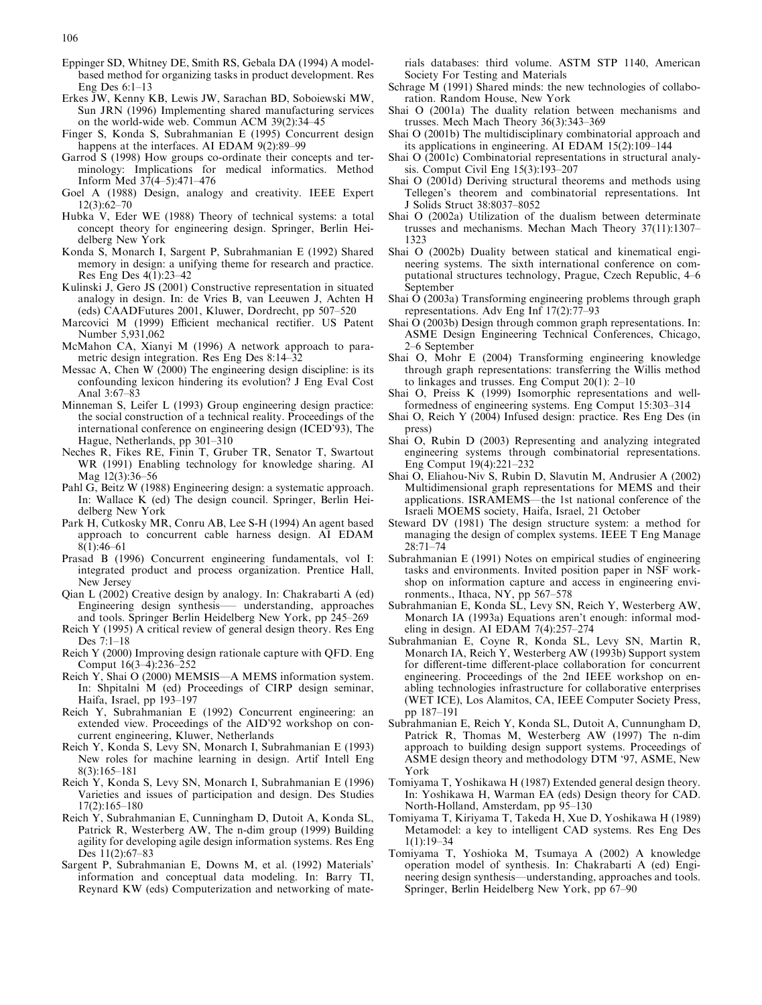- Eppinger SD, Whitney DE, Smith RS, Gebala DA (1994) A modelbased method for organizing tasks in product development. Res Eng Des 6:1–13
- Erkes JW, Kenny KB, Lewis JW, Sarachan BD, Soboiewski MW, Sun JRN (1996) Implementing shared manufacturing services on the world-wide web. Commun ACM 39(2):34–45
- Finger S, Konda S, Subrahmanian E (1995) Concurrent design happens at the interfaces. AI EDAM 9(2):89–99
- Garrod S (1998) How groups co-ordinate their concepts and terminology: Implications for medical informatics. Method Inform Med 37(4–5):471–476
- Goel A (1988) Design, analogy and creativity. IEEE Expert  $12(3):62-70$
- Hubka V, Eder WE (1988) Theory of technical systems: a total concept theory for engineering design. Springer, Berlin Heidelberg New York
- Konda S, Monarch I, Sargent P, Subrahmanian E (1992) Shared memory in design: a unifying theme for research and practice. Res Eng Des 4(1):23–42
- Kulinski J, Gero JS (2001) Constructive representation in situated analogy in design. In: de Vries B, van Leeuwen J, Achten H (eds) CAADFutures 2001, Kluwer, Dordrecht, pp 507–520
- Marcovici M (1999) Efficient mechanical rectifier. US Patent Number 5,931,062
- McMahon CA, Xianyi M (1996) A network approach to parametric design integration. Res Eng Des 8:14–32
- Messac A, Chen W (2000) The engineering design discipline: is its confounding lexicon hindering its evolution? J Eng Eval Cost Anal 3:67–83
- Minneman S, Leifer L (1993) Group engineering design practice: the social construction of a technical reality. Proceedings of the international conference on engineering design (ICED'93), The Hague, Netherlands, pp 301–310
- Neches R, Fikes RE, Finin T, Gruber TR, Senator T, Swartout WR (1991) Enabling technology for knowledge sharing. AI Mag 12(3):36–56
- Pahl G, Beitz W (1988) Engineering design: a systematic approach. In: Wallace K (ed) The design council. Springer, Berlin Heidelberg New York
- Park H, Cutkosky MR, Conru AB, Lee S-H (1994) An agent based approach to concurrent cable harness design. AI EDAM 8(1):46–61
- Prasad B (1996) Concurrent engineering fundamentals, vol I: integrated product and process organization. Prentice Hall, New Jersey
- Qian L (2002) Creative design by analogy. In: Chakrabarti A (ed) Engineering design synthesis—– understanding, approaches and tools. Springer Berlin Heidelberg New York, pp 245–269
- Reich Y (1995) A critical review of general design theory. Res Eng Des 7:1–18
- Reich Y (2000) Improving design rationale capture with QFD. Eng Comput 16(3–4):236–252
- Reich Y, Shai O (2000) MEMSIS—A MEMS information system. In: Shpitalni M (ed) Proceedings of CIRP design seminar, Haifa, Israel, pp 193–197
- Reich Y, Subrahmanian E (1992) Concurrent engineering: an extended view. Proceedings of the AID'92 workshop on concurrent engineering, Kluwer, Netherlands
- Reich Y, Konda S, Levy SN, Monarch I, Subrahmanian E (1993) New roles for machine learning in design. Artif Intell Eng 8(3):165–181
- Reich Y, Konda S, Levy SN, Monarch I, Subrahmanian E (1996) Varieties and issues of participation and design. Des Studies 17(2):165–180
- Reich Y, Subrahmanian E, Cunningham D, Dutoit A, Konda SL, Patrick R, Westerberg AW, The n-dim group (1999) Building agility for developing agile design information systems. Res Eng Des 11(2):67–83
- Sargent P, Subrahmanian E, Downs M, et al. (1992) Materials' information and conceptual data modeling. In: Barry TI, Reynard KW (eds) Computerization and networking of mate-

rials databases: third volume. ASTM STP 1140, American Society For Testing and Materials

- Schrage M (1991) Shared minds: the new technologies of collaboration. Random House, New York
- Shai O (2001a) The duality relation between mechanisms and trusses. Mech Mach Theory 36(3):343–369
- Shai O (2001b) The multidisciplinary combinatorial approach and its applications in engineering. AI EDAM 15(2):109–144
- Shai O (2001c) Combinatorial representations in structural analysis. Comput Civil Eng 15(3):193–207
- Shai O (2001d) Deriving structural theorems and methods using Tellegen's theorem and combinatorial representations. Int J Solids Struct 38:8037–8052
- Shai O (2002a) Utilization of the dualism between determinate trusses and mechanisms. Mechan Mach Theory 37(11):1307– 1323
- Shai O (2002b) Duality between statical and kinematical engineering systems. The sixth international conference on computational structures technology, Prague, Czech Republic, 4–6 September
- Shai O (2003a) Transforming engineering problems through graph representations. Adv Eng Inf 17(2):77–93
- Shai O (2003b) Design through common graph representations. In: ASME Design Engineering Technical Conferences, Chicago, 2–6 September
- Shai O, Mohr E (2004) Transforming engineering knowledge through graph representations: transferring the Willis method to linkages and trusses. Eng Comput 20(1): 2–10
- Shai O, Preiss K (1999) Isomorphic representations and wellformedness of engineering systems. Eng Comput 15:303–314
- Shai O, Reich Y (2004) Infused design: practice. Res Eng Des (in press)
- Shai O, Rubin D (2003) Representing and analyzing integrated engineering systems through combinatorial representations. Eng Comput 19(4):221–232
- Shai O, Eliahou-Niv S, Rubin D, Slavutin M, Andrusier A (2002) Multidimensional graph representations for MEMS and their applications. ISRAMEMS—the 1st national conference of the Israeli MOEMS society, Haifa, Israel, 21 October
- Steward DV (1981) The design structure system: a method for managing the design of complex systems. IEEE T Eng Manage 28:71–74
- Subrahmanian E (1991) Notes on empirical studies of engineering tasks and environments. Invited position paper in NSF workshop on information capture and access in engineering environments., Ithaca, NY, pp 567–578
- Subrahmanian E, Konda SL, Levy SN, Reich Y, Westerberg AW, Monarch IA (1993a) Equations aren't enough: informal modeling in design. AI EDAM 7(4):257–274
- Subrahmanian E, Coyne R, Konda SL, Levy SN, Martin R, Monarch IA, Reich Y, Westerberg AW (1993b) Support system for different-time different-place collaboration for concurrent engineering. Proceedings of the 2nd IEEE workshop on enabling technologies infrastructure for collaborative enterprises (WET ICE), Los Alamitos, CA, IEEE Computer Society Press, pp 187–191
- Subrahmanian E, Reich Y, Konda SL, Dutoit A, Cunnungham D, Patrick R, Thomas M, Westerberg AW (1997) The n-dim approach to building design support systems. Proceedings of ASME design theory and methodology DTM '97, ASME, New York
- Tomiyama T, Yoshikawa H (1987) Extended general design theory. In: Yoshikawa H, Warman EA (eds) Design theory for CAD. North-Holland, Amsterdam, pp 95–130
- Tomiyama T, Kiriyama T, Takeda H, Xue D, Yoshikawa H (1989) Metamodel: a key to intelligent CAD systems. Res Eng Des 1(1):19–34
- Tomiyama T, Yoshioka M, Tsumaya A (2002) A knowledge operation model of synthesis. In: Chakrabarti A (ed) Engineering design synthesis—understanding, approaches and tools. Springer, Berlin Heidelberg New York, pp 67–90